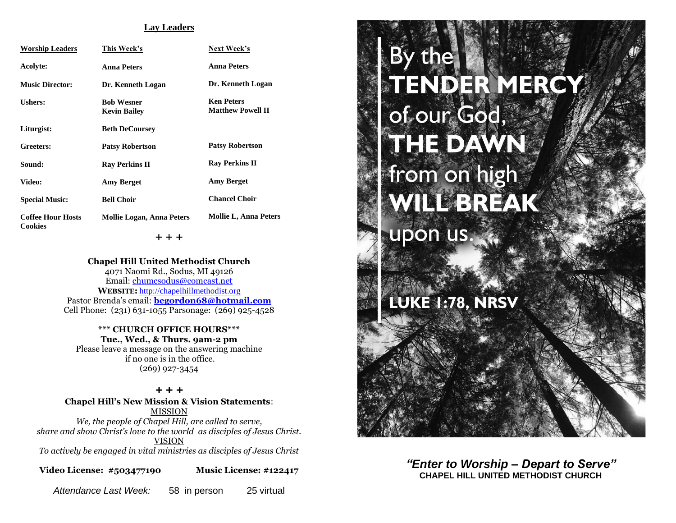#### **Lay Leaders**

| <b>Worship Leaders</b>                     | This Week's                              | Next Week's                                   |
|--------------------------------------------|------------------------------------------|-----------------------------------------------|
| Acolyte:                                   | <b>Anna Peters</b>                       | <b>Anna Peters</b>                            |
| <b>Music Director:</b>                     | Dr. Kenneth Logan                        | Dr. Kenneth Logan                             |
| <b>Ushers:</b>                             | <b>Bob Wesner</b><br><b>Kevin Bailey</b> | <b>Ken Peters</b><br><b>Matthew Powell II</b> |
| Liturgist:                                 | <b>Beth DeCoursey</b>                    |                                               |
| Greeters:                                  | <b>Patsy Robertson</b>                   | <b>Patsy Robertson</b>                        |
| Sound:                                     | <b>Ray Perkins II</b>                    | <b>Ray Perkins II</b>                         |
| <b>Video:</b>                              | <b>Amy Berget</b>                        | <b>Amy Berget</b>                             |
| <b>Special Music:</b>                      | <b>Bell Choir</b>                        | <b>Chancel Choir</b>                          |
| <b>Coffee Hour Hosts</b><br><b>Cookies</b> | <b>Mollie Logan, Anna Peters</b>         | <b>Mollie L, Anna Peters</b>                  |

+ + +

**Chapel Hill United Methodist Church** 4071 Naomi Rd., Sodus, MI 49126 Email: [chumcsodus@comcast.net](mailto:chumcsodus@comcast.net) **WEBSITE:** [http://chapelhillmethodist.org](http://chapelhillmethodist.org/) Pastor Brenda's email: **[begordon68@hotmail.com](mailto:begordon68@hotmail.com)** Cell Phone: (231) 631-1055 Parsonage: (269) 925-4528

**\*\*\* CHURCH OFFICE HOURS\*\*\* Tue., Wed., & Thurs. 9am-2 pm** Please leave a message on the answering machine if no one is in the office. (269) 927-3454

*+ + +* **Chapel Hill's New Mission & Vision Statements**: MISSION *We, the people of Chapel Hill, are called to serve, share and show Christ's love to the world as disciples of Jesus Christ.* VISION

*To actively be engaged in vital ministries as disciples of Jesus Christ*

**Video License: #503477190 Music License: #122417**

*Attendance Last Week:* 58 in person 25 virtual

# By the ENDER MER of our God, THE DAWN from on high WILL BREAK upon us. LUKE 1:78, NRSV

## *"Enter to Worship – Depart to Serve"* **CHAPEL HILL UNITED METHODIST CHURCH**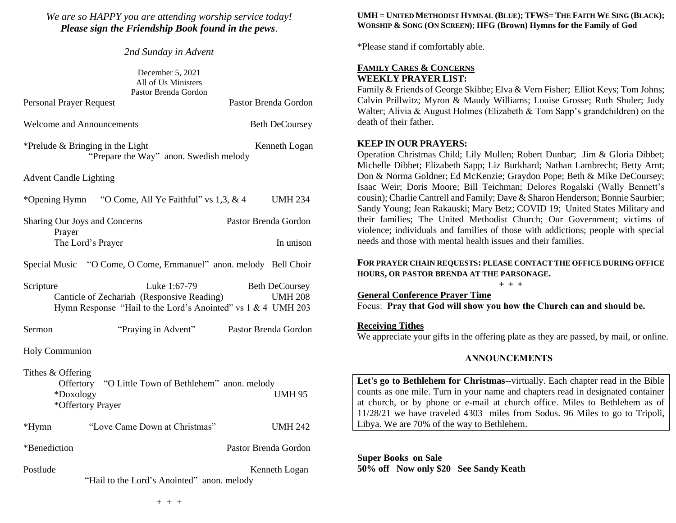## *We are so HAPPY you are attending worship service today! Please sign the Friendship Book found in the pews.*

*2nd Sunday in Advent*

|                                  | December 5, 2021<br>All of Us Ministers<br>Pastor Brenda Gordon                                                            |                                         |
|----------------------------------|----------------------------------------------------------------------------------------------------------------------------|-----------------------------------------|
| <b>Personal Prayer Request</b>   |                                                                                                                            | Pastor Brenda Gordon                    |
| <b>Welcome and Announcements</b> |                                                                                                                            | <b>Beth DeCoursey</b>                   |
|                                  | *Prelude $&$ Bringing in the Light<br>"Prepare the Way" anon. Swedish melody                                               | Kenneth Logan                           |
| <b>Advent Candle Lighting</b>    |                                                                                                                            |                                         |
| *Opening Hymn                    | "O Come, All Ye Faithful" vs 1,3, & 4                                                                                      | <b>UMH 234</b>                          |
|                                  | Sharing Our Joys and Concerns                                                                                              | Pastor Brenda Gordon                    |
| Prayer                           | The Lord's Prayer                                                                                                          | In unison                               |
|                                  | Special Music "O Come, O Come, Emmanuel" anon. melody Bell Choir                                                           |                                         |
| Scripture                        | Luke 1:67-79<br>Canticle of Zechariah (Responsive Reading)<br>Hymn Response "Hail to the Lord's Anointed" vs 1 & 4 UMH 203 | <b>Beth DeCoursey</b><br><b>UMH 208</b> |
| Sermon                           | "Praying in Advent"                                                                                                        | Pastor Brenda Gordon                    |
| Holy Communion                   |                                                                                                                            |                                         |
| Tithes & Offering<br>*Doxology   | Offertory "O Little Town of Bethlehem" anon. melody<br>*Offertory Prayer                                                   | <b>UMH 95</b>                           |
| *Hymn                            | "Love Came Down at Christmas"                                                                                              | <b>UMH 242</b>                          |
| *Benediction                     |                                                                                                                            | Pastor Brenda Gordon                    |
| Postlude                         | "Hail to the Lord's Anointed" anon. melody                                                                                 | Kenneth Logan                           |

### UMH = UNITED METHODIST HYMNAL (BLUE); TFWS= THE FAITH WE SING (BLACK); **WORSHIP & SONG (ON SCREEN)**; **HFG (Brown) Hymns for the Family of God**

\*Please stand if comfortably able.

## **FAMILY CARES & CONCERNS WEEKLY PRAYER LIST:**

Family & Friends of George Skibbe; Elva & Vern Fisher; Elliot Keys; Tom Johns; Calvin Prillwitz; Myron & Maudy Williams; Louise Grosse; Ruth Shuler; Judy Walter; Alivia & August Holmes (Elizabeth & Tom Sapp's grandchildren) on the death of their father.

## **KEEP IN OUR PRAYERS:**

Operation Christmas Child; Lily Mullen; Robert Dunbar; Jim & Gloria Dibbet; Michelle Dibbet; Elizabeth Sapp; Liz Burkhard; Nathan Lambrecht; Betty Arnt; Don & Norma Goldner; Ed McKenzie; Graydon Pope; Beth & Mike DeCoursey; Isaac Weir; Doris Moore; Bill Teichman; Delores Rogalski (Wally Bennett's cousin); Charlie Cantrell and Family; Dave & Sharon Henderson; Bonnie Saurbier; Sandy Young; Jean Rakauski; Mary Betz; COVID 19; United States Military and their families; The United Methodist Church; Our Government; victims of violence; individuals and families of those with addictions; people with special needs and those with mental health issues and their families.

## **FOR PRAYER CHAIN REQUESTS: PLEASE CONTACT THE OFFICE DURING OFFICE HOURS, OR PASTOR BRENDA AT THE PARSONAGE.**

**+ + +**

**General Conference Prayer Time**

Focus: **Pray that God will show you how the Church can and should be.**

## **Receiving Tithes**

We appreciate your gifts in the offering plate as they are passed, by mail, or online.

## **ANNOUNCEMENTS**

**Let's go to Bethlehem for Christmas**--virtually. Each chapter read in the Bible counts as one mile. Turn in your name and chapters read in designated container at church, or by phone or e-mail at church office. Miles to Bethlehem as of 11/28/21 we have traveled 4303 miles from Sodus. 96 Miles to go to Tripoli, Libya. We are 70% of the way to Bethlehem.

**Super Books on Sale 50% off Now only \$20 See Sandy Keath**